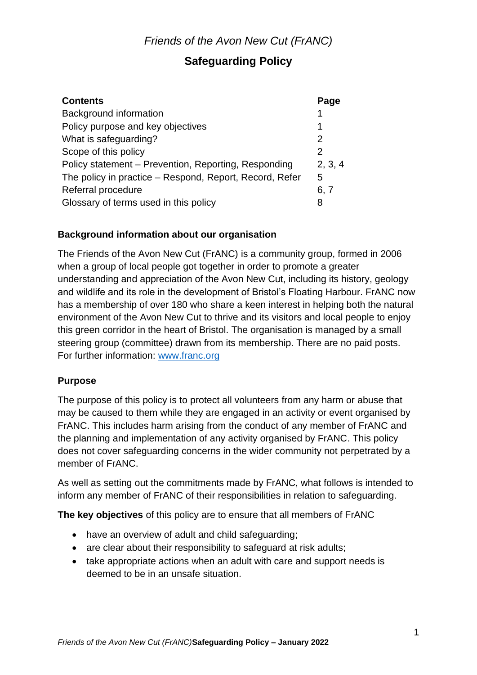## **Safeguarding Policy**

| <b>Contents</b>                                         | Page    |
|---------------------------------------------------------|---------|
| Background information                                  |         |
| Policy purpose and key objectives                       | 1       |
| What is safeguarding?                                   | 2       |
| Scope of this policy                                    | 2       |
| Policy statement – Prevention, Reporting, Responding    | 2, 3, 4 |
| The policy in practice – Respond, Report, Record, Refer | 5       |
| Referral procedure                                      | 6, 7    |
| Glossary of terms used in this policy                   | 8       |

### **Background information about our organisation**

The Friends of the Avon New Cut (FrANC) is a community group, formed in 2006 when a group of local people got together in order to promote a greater understanding and appreciation of the Avon New Cut, including its history, geology and wildlife and its role in the development of Bristol's Floating Harbour. FrANC now has a membership of over 180 who share a keen interest in helping both the natural environment of the Avon New Cut to thrive and its visitors and local people to enjoy this green corridor in the heart of Bristol. The organisation is managed by a small steering group (committee) drawn from its membership. There are no paid posts. For further information: [www.franc.org](http://www.franc.org/)

### **Purpose**

The purpose of this policy is to protect all volunteers from any harm or abuse that may be caused to them while they are engaged in an activity or event organised by FrANC. This includes harm arising from the conduct of any member of FrANC and the planning and implementation of any activity organised by FrANC. This policy does not cover safeguarding concerns in the wider community not perpetrated by a member of FrANC.

As well as setting out the commitments made by FrANC, what follows is intended to inform any member of FrANC of their responsibilities in relation to safeguarding.

**The key objectives** of this policy are to ensure that all members of FrANC

- have an overview of adult and child safeguarding;
- are clear about their responsibility to safeguard at risk adults;
- take appropriate actions when an adult with care and support needs is deemed to be in an unsafe situation.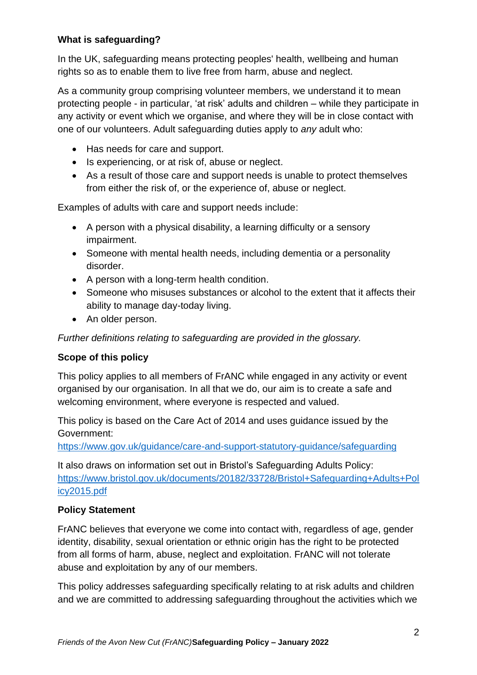### **What is safeguarding?**

In the UK, safeguarding means protecting peoples' health, wellbeing and human rights so as to enable them to live free from harm, abuse and neglect.

As a community group comprising volunteer members, we understand it to mean protecting people - in particular, 'at risk' adults and children – while they participate in any activity or event which we organise, and where they will be in close contact with one of our volunteers. Adult safeguarding duties apply to *any* adult who:

- Has needs for care and support.
- Is experiencing, or at risk of, abuse or neglect.
- As a result of those care and support needs is unable to protect themselves from either the risk of, or the experience of, abuse or neglect.

Examples of adults with care and support needs include:

- A person with a physical disability, a learning difficulty or a sensory impairment.
- Someone with mental health needs, including dementia or a personality disorder.
- A person with a long-term health condition.
- Someone who misuses substances or alcohol to the extent that it affects their ability to manage day-today living.
- An older person.

*Further definitions relating to safeguarding are provided in the glossary.*

### **Scope of this policy**

This policy applies to all members of FrANC while engaged in any activity or event organised by our organisation. In all that we do, our aim is to create a safe and welcoming environment, where everyone is respected and valued.

This policy is based on the Care Act of 2014 and uses guidance issued by the Government:

<https://www.gov.uk/guidance/care-and-support-statutory-guidance/safeguarding>

It also draws on information set out in Bristol's Safeguarding Adults Policy: [https://www.bristol.gov.uk/documents/20182/33728/Bristol+Safeguarding+Adults+Pol](https://www.bristol.gov.uk/documents/20182/33728/Bristol+Safeguarding+Adults+Policy2015.pdf) [icy2015.pdf](https://www.bristol.gov.uk/documents/20182/33728/Bristol+Safeguarding+Adults+Policy2015.pdf)

### **Policy Statement**

FrANC believes that everyone we come into contact with, regardless of age, gender identity, disability, sexual orientation or ethnic origin has the right to be protected from all forms of harm, abuse, neglect and exploitation. FrANC will not tolerate abuse and exploitation by any of our members.

This policy addresses safeguarding specifically relating to at risk adults and children and we are committed to addressing safeguarding throughout the activities which we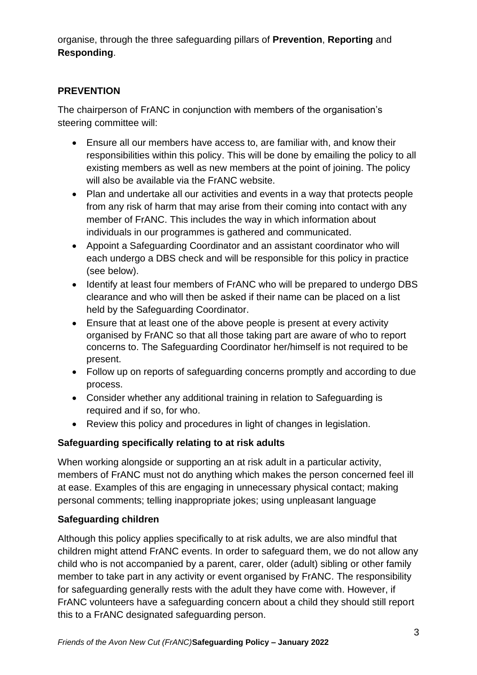organise, through the three safeguarding pillars of **Prevention**, **Reporting** and **Responding**.

### **PREVENTION**

The chairperson of FrANC in conjunction with members of the organisation's steering committee will:

- Ensure all our members have access to, are familiar with, and know their responsibilities within this policy. This will be done by emailing the policy to all existing members as well as new members at the point of joining. The policy will also be available via the FrANC website.
- Plan and undertake all our activities and events in a way that protects people from any risk of harm that may arise from their coming into contact with any member of FrANC. This includes the way in which information about individuals in our programmes is gathered and communicated.
- Appoint a Safeguarding Coordinator and an assistant coordinator who will each undergo a DBS check and will be responsible for this policy in practice (see below).
- Identify at least four members of FrANC who will be prepared to undergo DBS clearance and who will then be asked if their name can be placed on a list held by the Safeguarding Coordinator.
- Ensure that at least one of the above people is present at every activity organised by FrANC so that all those taking part are aware of who to report concerns to. The Safeguarding Coordinator her/himself is not required to be present.
- Follow up on reports of safeguarding concerns promptly and according to due process.
- Consider whether any additional training in relation to Safeguarding is required and if so, for who.
- Review this policy and procedures in light of changes in legislation.

## **Safeguarding specifically relating to at risk adults**

When working alongside or supporting an at risk adult in a particular activity, members of FrANC must not do anything which makes the person concerned feel ill at ease. Examples of this are engaging in unnecessary physical contact; making personal comments; telling inappropriate jokes; using unpleasant language

### **Safeguarding children**

Although this policy applies specifically to at risk adults, we are also mindful that children might attend FrANC events. In order to safeguard them, we do not allow any child who is not accompanied by a parent, carer, older (adult) sibling or other family member to take part in any activity or event organised by FrANC. The responsibility for safeguarding generally rests with the adult they have come with. However, if FrANC volunteers have a safeguarding concern about a child they should still report this to a FrANC designated safeguarding person.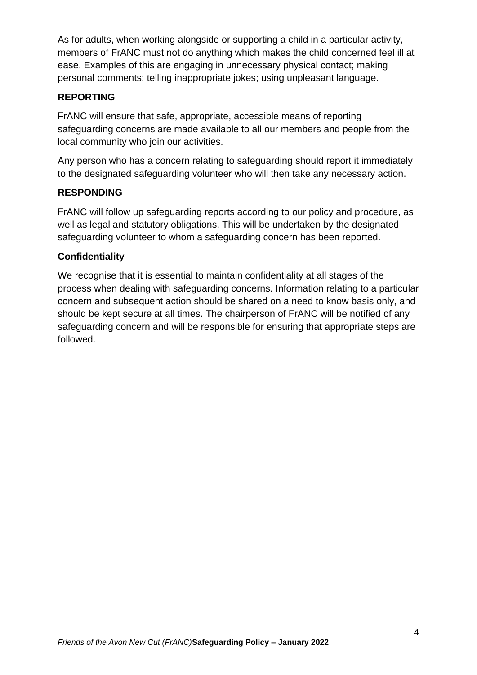As for adults, when working alongside or supporting a child in a particular activity, members of FrANC must not do anything which makes the child concerned feel ill at ease. Examples of this are engaging in unnecessary physical contact; making personal comments; telling inappropriate jokes; using unpleasant language.

### **REPORTING**

FrANC will ensure that safe, appropriate, accessible means of reporting safeguarding concerns are made available to all our members and people from the local community who join our activities.

Any person who has a concern relating to safeguarding should report it immediately to the designated safeguarding volunteer who will then take any necessary action.

## **RESPONDING**

FrANC will follow up safeguarding reports according to our policy and procedure, as well as legal and statutory obligations. This will be undertaken by the designated safeguarding volunteer to whom a safeguarding concern has been reported.

### **Confidentiality**

We recognise that it is essential to maintain confidentiality at all stages of the process when dealing with safeguarding concerns. Information relating to a particular concern and subsequent action should be shared on a need to know basis only, and should be kept secure at all times. The chairperson of FrANC will be notified of any safeguarding concern and will be responsible for ensuring that appropriate steps are followed.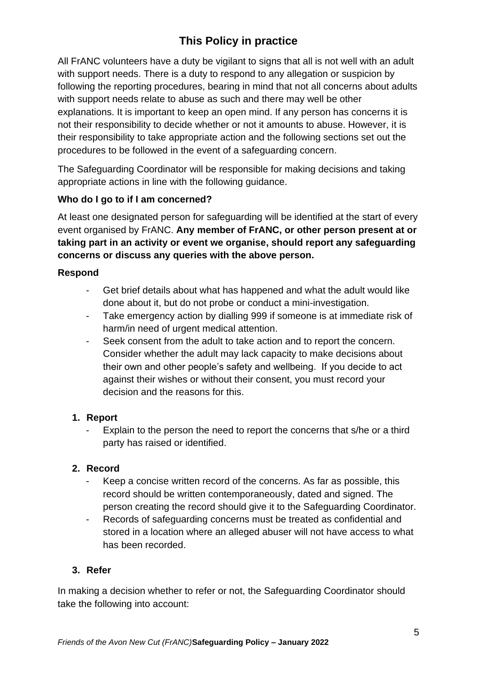# **This Policy in practice**

All FrANC volunteers have a duty be vigilant to signs that all is not well with an adult with support needs. There is a duty to respond to any allegation or suspicion by following the reporting procedures, bearing in mind that not all concerns about adults with support needs relate to abuse as such and there may well be other explanations. It is important to keep an open mind. If any person has concerns it is not their responsibility to decide whether or not it amounts to abuse. However, it is their responsibility to take appropriate action and the following sections set out the procedures to be followed in the event of a safeguarding concern.

The Safeguarding Coordinator will be responsible for making decisions and taking appropriate actions in line with the following guidance.

## **Who do I go to if I am concerned?**

At least one designated person for safeguarding will be identified at the start of every event organised by FrANC. **Any member of FrANC, or other person present at or taking part in an activity or event we organise, should report any safeguarding concerns or discuss any queries with the above person.**

### **Respond**

- Get brief details about what has happened and what the adult would like done about it, but do not probe or conduct a mini-investigation.
- Take emergency action by dialling 999 if someone is at immediate risk of harm/in need of urgent medical attention.
- Seek consent from the adult to take action and to report the concern. Consider whether the adult may lack capacity to make decisions about their own and other people's safety and wellbeing. If you decide to act against their wishes or without their consent, you must record your decision and the reasons for this.

### **1. Report**

- Explain to the person the need to report the concerns that s/he or a third party has raised or identified.

### **2. Record**

- Keep a concise written record of the concerns. As far as possible, this record should be written contemporaneously, dated and signed. The person creating the record should give it to the Safeguarding Coordinator.
- Records of safeguarding concerns must be treated as confidential and stored in a location where an alleged abuser will not have access to what has been recorded.

## **3. Refer**

In making a decision whether to refer or not, the Safeguarding Coordinator should take the following into account: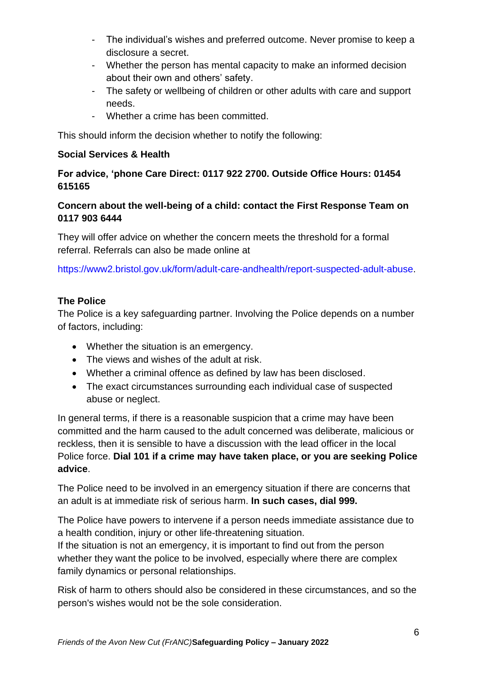- The individual's wishes and preferred outcome. Never promise to keep a disclosure a secret.
- Whether the person has mental capacity to make an informed decision about their own and others' safety.
- The safety or wellbeing of children or other adults with care and support needs.
- Whether a crime has been committed.

This should inform the decision whether to notify the following:

### **Social Services & Health**

**For advice, 'phone Care Direct: 0117 922 2700. Outside Office Hours: 01454 615165**

## **Concern about the well-being of a child: contact the First Response Team on 0117 903 6444**

They will offer advice on whether the concern meets the threshold for a formal referral. Referrals can also be made online at

https://www2.bristol.gov.uk/form/adult-care-andhealth/report-suspected-adult-abuse.

### **The Police**

The Police is a key safeguarding partner. Involving the Police depends on a number of factors, including:

- Whether the situation is an emergency.
- The views and wishes of the adult at risk.
- Whether a criminal offence as defined by law has been disclosed.
- The exact circumstances surrounding each individual case of suspected abuse or neglect.

In general terms, if there is a reasonable suspicion that a crime may have been committed and the harm caused to the adult concerned was deliberate, malicious or reckless, then it is sensible to have a discussion with the lead officer in the local Police force. **Dial 101 if a crime may have taken place, or you are seeking Police advice**.

The Police need to be involved in an emergency situation if there are concerns that an adult is at immediate risk of serious harm. **In such cases, dial 999.**

The Police have powers to intervene if a person needs immediate assistance due to a health condition, injury or other life-threatening situation.

If the situation is not an emergency, it is important to find out from the person whether they want the police to be involved, especially where there are complex family dynamics or personal relationships.

Risk of harm to others should also be considered in these circumstances, and so the person's wishes would not be the sole consideration.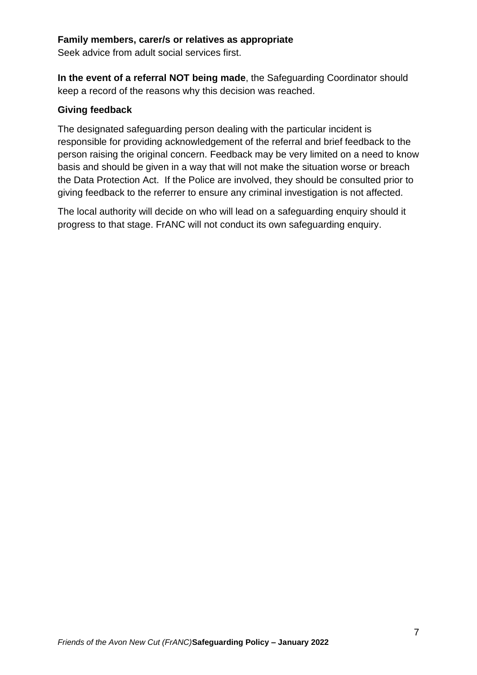#### **Family members, carer/s or relatives as appropriate**

Seek advice from adult social services first.

**In the event of a referral NOT being made**, the Safeguarding Coordinator should keep a record of the reasons why this decision was reached.

### **Giving feedback**

The designated safeguarding person dealing with the particular incident is responsible for providing acknowledgement of the referral and brief feedback to the person raising the original concern. Feedback may be very limited on a need to know basis and should be given in a way that will not make the situation worse or breach the Data Protection Act. If the Police are involved, they should be consulted prior to giving feedback to the referrer to ensure any criminal investigation is not affected.

The local authority will decide on who will lead on a safeguarding enquiry should it progress to that stage. FrANC will not conduct its own safeguarding enquiry.